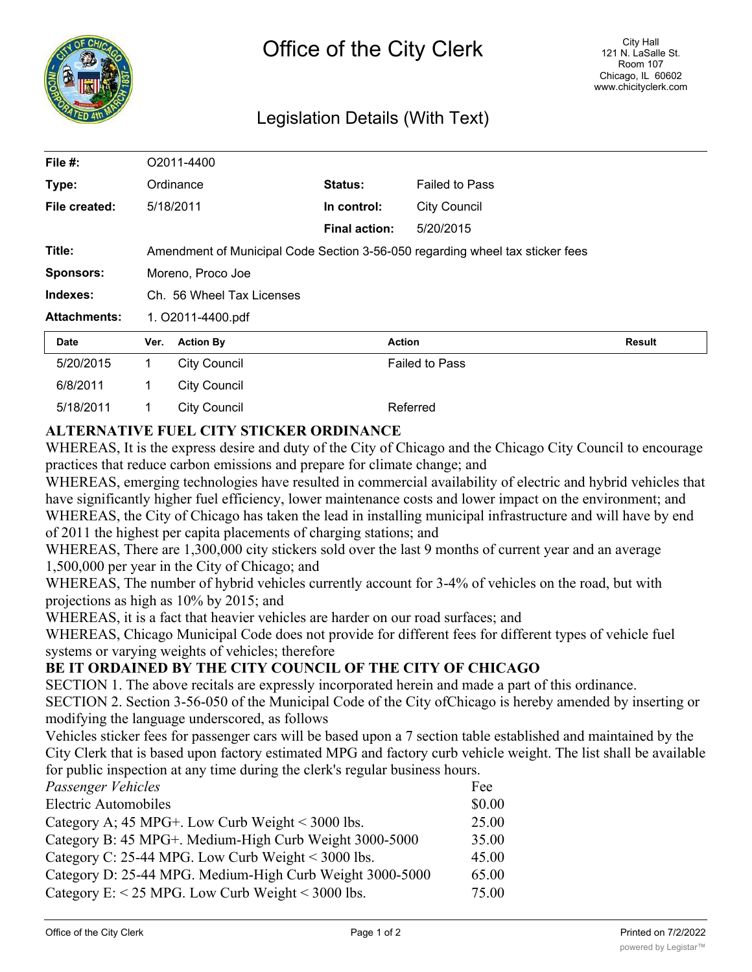

## Legislation Details (With Text)

| File #:             | O2011-4400                                                                    |                     |                      |                       |               |
|---------------------|-------------------------------------------------------------------------------|---------------------|----------------------|-----------------------|---------------|
| Type:               |                                                                               | Ordinance           | <b>Status:</b>       | <b>Failed to Pass</b> |               |
| File created:       |                                                                               | 5/18/2011           | In control:          | <b>City Council</b>   |               |
|                     |                                                                               |                     | <b>Final action:</b> | 5/20/2015             |               |
| Title:              | Amendment of Municipal Code Section 3-56-050 regarding wheel tax sticker fees |                     |                      |                       |               |
| <b>Sponsors:</b>    | Moreno, Proco Joe                                                             |                     |                      |                       |               |
| Indexes:            | Ch. 56 Wheel Tax Licenses                                                     |                     |                      |                       |               |
| <b>Attachments:</b> | 1. O2011-4400.pdf                                                             |                     |                      |                       |               |
| Date                | Ver.                                                                          | <b>Action By</b>    |                      | <b>Action</b>         | <b>Result</b> |
| 5/20/2015           | $\mathbf{1}$                                                                  | <b>City Council</b> |                      | <b>Failed to Pass</b> |               |
| 6/8/2011            | 1                                                                             | <b>City Council</b> |                      |                       |               |
| 5/18/2011           | 1                                                                             | <b>City Council</b> |                      | Referred              |               |

## **ALTERNATIVE FUEL CITY STICKER ORDINANCE**

WHEREAS, It is the express desire and duty of the City of Chicago and the Chicago City Council to encourage practices that reduce carbon emissions and prepare for climate change; and

WHEREAS, emerging technologies have resulted in commercial availability of electric and hybrid vehicles that have significantly higher fuel efficiency, lower maintenance costs and lower impact on the environment; and WHEREAS, the City of Chicago has taken the lead in installing municipal infrastructure and will have by end of 2011 the highest per capita placements of charging stations; and

WHEREAS, There are 1,300,000 city stickers sold over the last 9 months of current year and an average 1,500,000 per year in the City of Chicago; and

WHEREAS, The number of hybrid vehicles currently account for 3-4% of vehicles on the road, but with projections as high as 10% by 2015; and

WHEREAS, it is a fact that heavier vehicles are harder on our road surfaces; and

WHEREAS, Chicago Municipal Code does not provide for different fees for different types of vehicle fuel systems or varying weights of vehicles; therefore

## **BE IT ORDAINED BY THE CITY COUNCIL OF THE CITY OF CHICAGO**

SECTION 1. The above recitals are expressly incorporated herein and made a part of this ordinance. SECTION 2. Section 3-56-050 of the Municipal Code of the City ofChicago is hereby amended by inserting or modifying the language underscored, as follows

Vehicles sticker fees for passenger cars will be based upon a 7 section table established and maintained by the City Clerk that is based upon factory estimated MPG and factory curb vehicle weight. The list shall be available for public inspection at any time during the clerk's regular business hours.

| Passenger Vehicles                                          | Fee    |
|-------------------------------------------------------------|--------|
| <b>Electric Automobiles</b>                                 | \$0.00 |
| Category A; $45 \text{ MPG+}$ . Low Curb Weight < 3000 lbs. | 25.00  |
| Category B: 45 MPG+. Medium-High Curb Weight 3000-5000      | 35.00  |
| Category C: 25-44 MPG. Low Curb Weight < 3000 lbs.          | 45.00  |
| Category D: 25-44 MPG. Medium-High Curb Weight 3000-5000    | 65.00  |
| Category E: $<$ 25 MPG. Low Curb Weight $<$ 3000 lbs.       | 75.00  |
|                                                             |        |